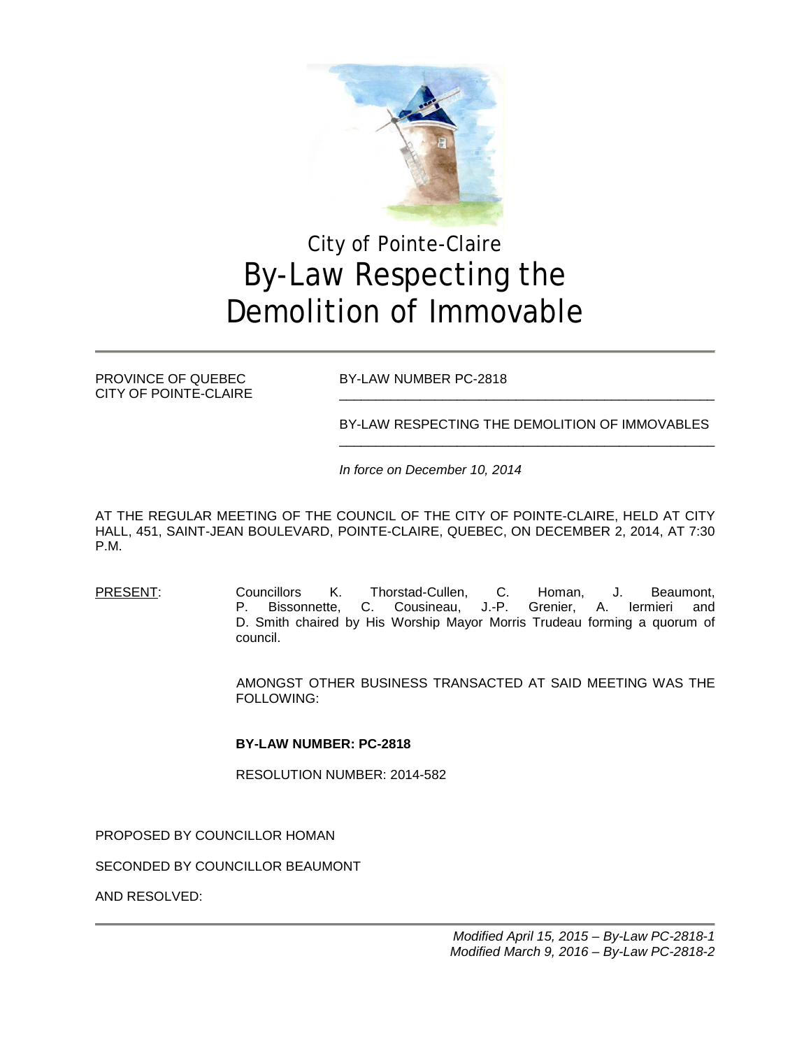

# City of Pointe-Claire By-Law Respecting the Demolition of Immovable

CITY OF POINTE-CLAIRE

PROVINCE OF QUEBEC BY-LAW NUMBER PC-2818

BY-LAW RESPECTING THE DEMOLITION OF IMMOVABLES \_\_\_\_\_\_\_\_\_\_\_\_\_\_\_\_\_\_\_\_\_\_\_\_\_\_\_\_\_\_\_\_\_\_\_\_\_\_\_\_\_\_\_\_\_\_\_\_\_\_\_

*In force on December 10, 2014*

AT THE REGULAR MEETING OF THE COUNCIL OF THE CITY OF POINTE-CLAIRE, HELD AT CITY HALL, 451, SAINT-JEAN BOULEVARD, POINTE-CLAIRE, QUEBEC, ON DECEMBER 2, 2014, AT 7:30 P.M.

PRESENT: Councillors K. Thorstad-Cullen, C. Homan, J. Beaumont, P. Bissonnette, C. Cousineau, J.-P. Grenier, A. Iermieri and D. Smith chaired by His Worship Mayor Morris Trudeau forming a quorum of council.

> AMONGST OTHER BUSINESS TRANSACTED AT SAID MEETING WAS THE FOLLOWING:

#### **BY-LAW NUMBER: PC-2818**

RESOLUTION NUMBER: 2014-582

PROPOSED BY COUNCILLOR HOMAN

SECONDED BY COUNCILLOR BEAUMONT

AND RESOLVED: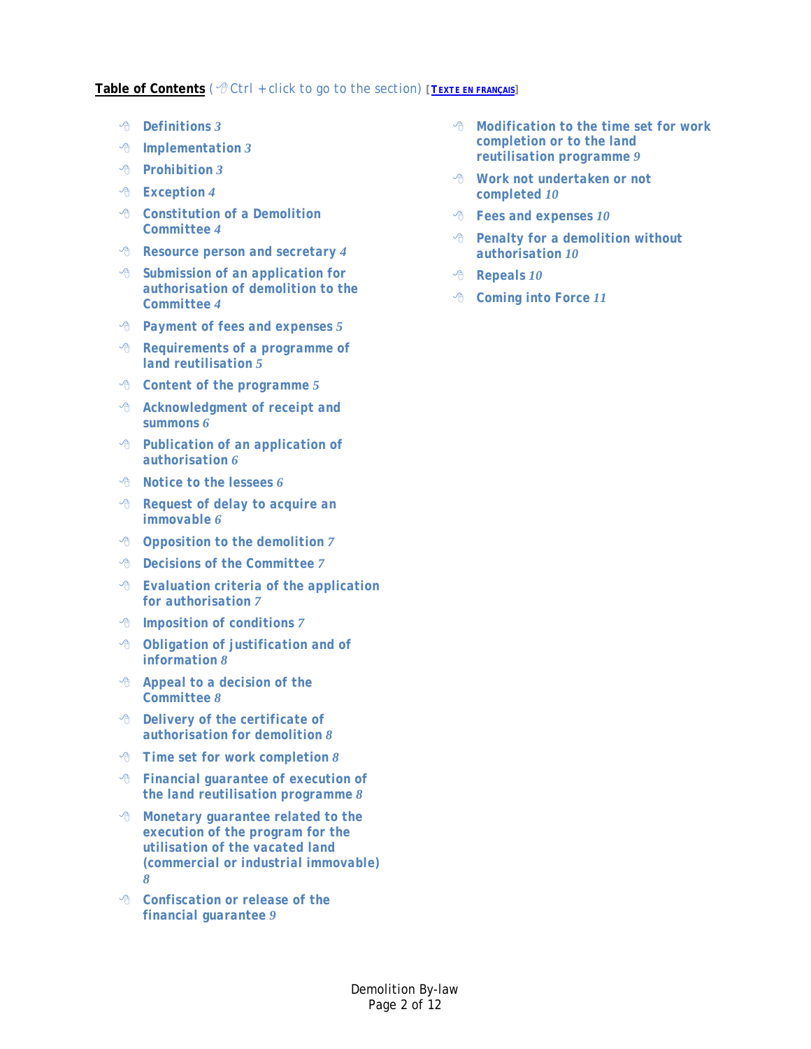#### **Table of Contents** *( Ctrl + click to go to the section) [\[TEXTE EN FRANÇAIS\]](http://www.pointe-claire.ca/reglements-urbanisme/demolition.html?view=docman)*

- *[Definitions](#page-2-0) 3*
- *[Implementation](#page-2-1) 3*
- *[Prohibition](#page-2-2) 3*
- *[Exception](#page-3-0) 4*
- *[Constitution of a Demolition](#page-3-1)  [Committee](#page-3-1) 4*
- *[Resource person and secretary](#page-3-2) 4*
- *[Submission of an application for](#page-3-3)  [authorisation of demolition to the](#page-3-3)  [Committee](#page-3-3) 4*
- *[Payment of fees and expenses](#page-4-0) 5*
- *[Requirements of a programme of](#page-4-1)  [land reutilisation](#page-4-1) 5*
- *[Content of the programme](#page-4-2) 5*
- *[Acknowledgment of receipt and](#page-5-0)  [summons](#page-5-0) 6*
- *[Publication of an application of](#page-5-1)  [authorisation](#page-5-1) 6*
- *[Notice to the lessees](#page-5-2) 6*
- *[Request of delay to acquire an](#page-5-3)  [immovable](#page-5-3) 6*
- *[Opposition to the demolition](#page-6-0) 7*
- *[Decisions of the Committee](#page-6-1) 7*
- *[Evaluation criteria of the application](#page-6-2)  [for authorisation](#page-6-2) 7*
- *[Imposition of conditions](#page-6-3) 7*
- *[Obligation of justification and of](#page-7-0)  [information](#page-7-0) 8*
- *[Appeal to a decision of the](#page-7-1)  [Committee](#page-7-1) 8*
- *[Delivery of the certificate of](#page-7-2)  [authorisation for demolition](#page-7-2) 8*
- *[Time set for work completion](#page-7-3) 8*
- *[Financial guarantee of execution of](#page-7-4)  [the land reutilisation programme](#page-7-4) 8*
- *[Monetary guarantee related to the](#page-7-5)  [execution of the program for the](#page-7-5)  [utilisation of the vacated land](#page-7-5)  [\(commercial or industrial immovable\)](#page-7-5) 8*
- *[Confiscation or release of the](#page-8-0)  financial [guarantee](#page-8-0) 9*
- *[Modification to the time set for work](#page-8-1)  [completion or to the land](#page-8-1)  [reutilisation programme](#page-8-1) 9*
- *[Work not undertaken or not](#page-9-0)  [completed](#page-9-0) 10*
- *[Fees and expenses](#page-9-1) 10*
- *[Penalty for a demolition without](#page-9-2)  [authorisation](#page-9-2) 10*
- *[Repeals](#page-9-3) 10*
- *[Coming into Force](#page-10-0) 11*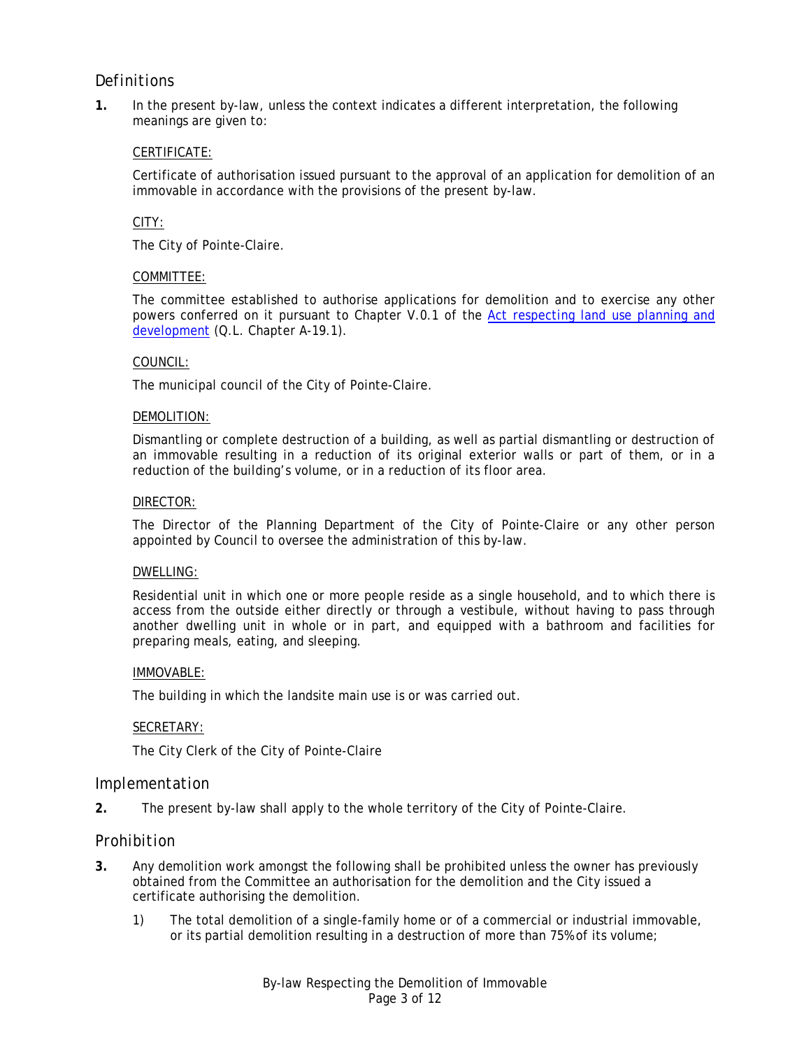## <span id="page-2-0"></span>*Definitions*

**1.** In the present by-law, unless the context indicates a different interpretation, the following meanings are given to:

#### CERTIFICATE:

Certificate of authorisation issued pursuant to the approval of an application for demolition of an immovable in accordance with the provisions of the present by-law.

#### CITY:

The City of Pointe-Claire.

#### COMMITTEE:

The committee established to authorise applications for demolition and to exercise any other powers conferred on it pursuant to Chapter V.0.1 of the [Act respecting land use planning and](http://www2.publicationsduquebec.gouv.qc.ca/dynamicSearch/telecharge.php?type=2&file=%2F%2FA_19_1%2FA19_1_A.htm)  [development](http://www2.publicationsduquebec.gouv.qc.ca/dynamicSearch/telecharge.php?type=2&file=%2F%2FA_19_1%2FA19_1_A.htm) (Q.L. Chapter A-19.1).

#### COUNCIL:

The municipal council of the City of Pointe-Claire.

#### DEMOLITION:

Dismantling or complete destruction of a building, as well as partial dismantling or destruction of an immovable resulting in a reduction of its original exterior walls or part of them, or in a reduction of the building's volume, or in a reduction of its floor area.

#### DIRECTOR:

The Director of the Planning Department of the City of Pointe-Claire or any other person appointed by Council to oversee the administration of this by-law.

#### DWELLING:

Residential unit in which one or more people reside as a single household, and to which there is access from the outside either directly or through a vestibule, without having to pass through another dwelling unit in whole or in part, and equipped with a bathroom and facilities for preparing meals, eating, and sleeping.

#### IMMOVABLE:

The building in which the landsite main use is or was carried out.

#### SECRETARY:

The City Clerk of the City of Pointe-Claire

#### <span id="page-2-1"></span>*Implementation*

**2.** The present by-law shall apply to the whole territory of the City of Pointe-Claire.

#### <span id="page-2-2"></span>*Prohibition*

- <span id="page-2-3"></span>**3.** Any demolition work amongst the following shall be prohibited unless the owner has previously obtained from the Committee an authorisation for the demolition and the City issued a certificate authorising the demolition.
	- 1) The total demolition of a single-family home or of a commercial or industrial immovable, or its partial demolition resulting in a destruction of more than 75% of its volume;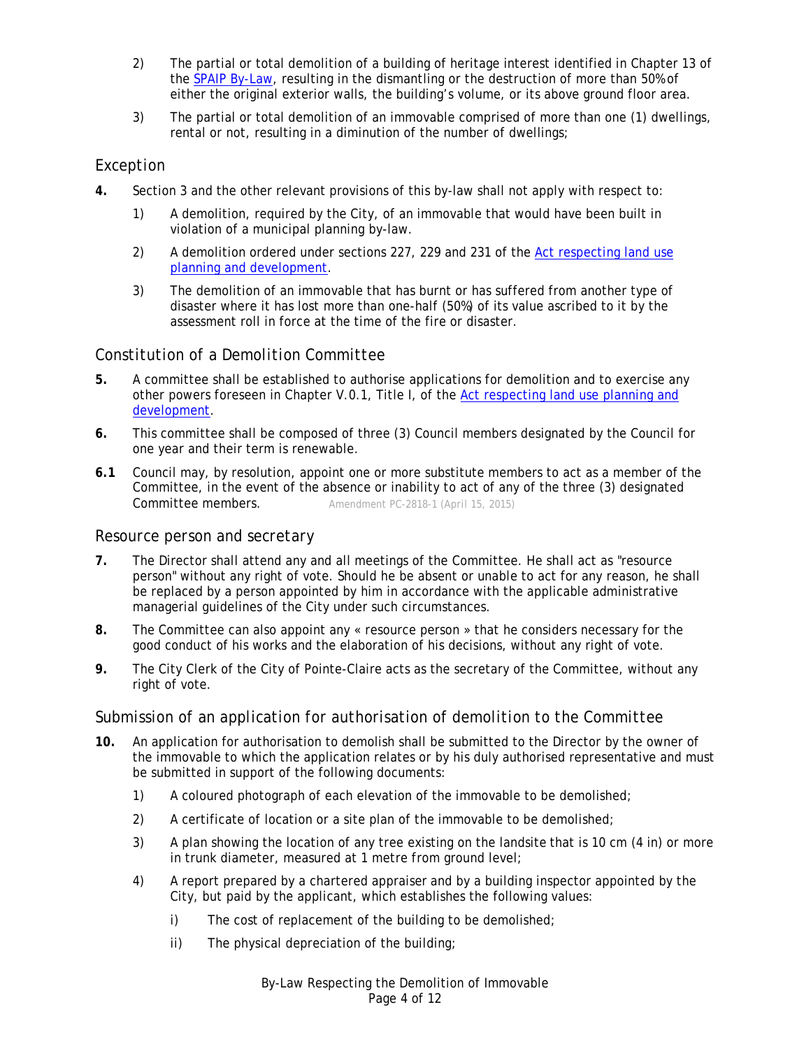- 2) The partial or total demolition of a building of heritage interest identified in Chapter 13 of the [SPAIP By-Law,](http://www.pointe-claire.ca/en/component/docman/doc_download/1916-spaip2011-2.html) resulting in the dismantling or the destruction of more than 50% of either the original exterior walls, the building's volume, or its above ground floor area.
- 3) The partial or total demolition of an immovable comprised of more than one (1) dwellings, rental or not, resulting in a diminution of the number of dwellings;

## <span id="page-3-0"></span>*Exception*

- **4.** Section [3](#page-2-3) and the other relevant provisions of this by-law shall not apply with respect to:
	- 1) A demolition, required by the City, of an immovable that would have been built in violation of a municipal planning by-law.
	- 2) A demolition ordered under sections 227, 229 and 231 of the [Act respecting land use](http://www2.publicationsduquebec.gouv.qc.ca/dynamicSearch/telecharge.php?type=2&file=%2F%2FA_19_1%2FA19_1_A.htm)  [planning and development.](http://www2.publicationsduquebec.gouv.qc.ca/dynamicSearch/telecharge.php?type=2&file=%2F%2FA_19_1%2FA19_1_A.htm)
	- 3) The demolition of an immovable that has burnt or has suffered from another type of disaster where it has lost more than one-half (50%) of its value ascribed to it by the assessment roll in force at the time of the fire or disaster.

## <span id="page-3-1"></span>*Constitution of a Demolition Committee*

- **5.** A committee shall be established to authorise applications for demolition and to exercise any other powers foreseen in Chapter V.0.1, Title I, of the [Act respecting land use planning and](http://www2.publicationsduquebec.gouv.qc.ca/dynamicSearch/telecharge.php?type=2&file=%2F%2FA_19_1%2FA19_1_A.htm)  [development.](http://www2.publicationsduquebec.gouv.qc.ca/dynamicSearch/telecharge.php?type=2&file=%2F%2FA_19_1%2FA19_1_A.htm)
- **6.** This committee shall be composed of three (3) Council members designated by the Council for one year and their term is renewable.
- **6.1** Council may, by resolution, appoint one or more substitute members to act as a member of the Committee, in the event of the absence or inability to act of any of the three (3) designated Committee members. *Amendment PC-2818-1 (April 15, 2015)*

## <span id="page-3-2"></span>*Resource person and secretary*

- **7.** The Director shall attend any and all meetings of the Committee. He shall act as "resource person" without any right of vote. Should he be absent or unable to act for any reason, he shall be replaced by a person appointed by him in accordance with the applicable administrative managerial guidelines of the City under such circumstances.
- **8.** The Committee can also appoint any « resource person » that he considers necessary for the good conduct of his works and the elaboration of his decisions, without any right of vote.
- **9.** The City Clerk of the City of Pointe-Claire acts as the secretary of the Committee, without any right of vote.

## <span id="page-3-3"></span>*Submission of an application for authorisation of demolition to the Committee*

- **10.** An application for authorisation to demolish shall be submitted to the Director by the owner of the immovable to which the application relates or by his duly authorised representative and must be submitted in support of the following documents:
	- 1) A coloured photograph of each elevation of the immovable to be demolished;
	- 2) A certificate of location or a site plan of the immovable to be demolished;
	- 3) A plan showing the location of any tree existing on the landsite that is 10 cm (4 in) or more in trunk diameter, measured at 1 metre from ground level;
	- 4) A report prepared by a chartered appraiser and by a building inspector appointed by the City, but paid by the applicant, which establishes the following values:
		- i) The cost of replacement of the building to be demolished;
		- ii) The physical depreciation of the building;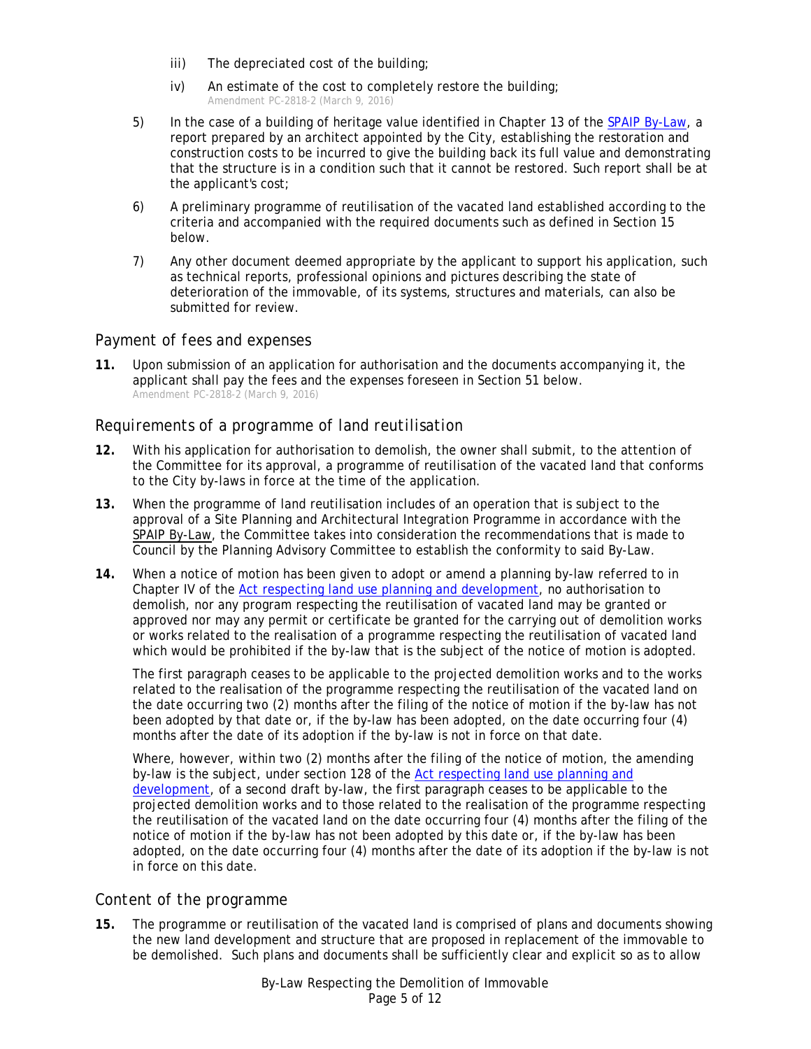- iii) The depreciated cost of the building;
- iv) An estimate of the cost to completely restore the building; *Amendment PC-2818-2 (March 9, 2016)*
- 5) In the case of a building of heritage value identified in Chapter 13 of the [SPAIP By-Law,](http://www.pointe-claire.ca/en/component/docman/doc_download/1916-spaip2011-2.html) a report prepared by an architect appointed by the City, establishing the restoration and construction costs to be incurred to give the building back its full value and demonstrating that the structure is in a condition such that it cannot be restored. Such report shall be at the applicant's cost;
- 6) A preliminary programme of reutilisation of the vacated land established according to the criteria and accompanied with the required documents such as defined in Section [15](#page-4-3) below.
- 7) Any other document deemed appropriate by the applicant to support his application, such as technical reports, professional opinions and pictures describing the state of deterioration of the immovable, of its systems, structures and materials, can also be submitted for review.

## <span id="page-4-0"></span>*Payment of fees and expenses*

**11.** Upon submission of an application for authorisation and the documents accompanying it, the applicant shall pay the fees and the expenses foreseen in Section [51](#page-9-4) below. *Amendment PC-2818-2 (March 9, 2016)*

## <span id="page-4-1"></span>*Requirements of a programme of land reutilisation*

- **12.** With his application for authorisation to demolish, the owner shall submit, to the attention of the Committee for its approval, a programme of reutilisation of the vacated land that conforms to the City by-laws in force at the time of the application.
- **13.** When the programme of land reutilisation includes of an operation that is subject to the approval of a Site Planning and Architectural Integration Programme in accordance with the [SPAIP By-Law,](http://www.ville.pointe-claire.qc.ca/en/component/docman/doc_download/1916-spaip2011-2.html) the Committee takes into consideration the recommendations that is made to Council by the Planning Advisory Committee to establish the conformity to said By-Law.
- **14.** When a notice of motion has been given to adopt or amend a planning by-law referred to in Chapter IV of the [Act respecting land use planning and development,](http://www2.publicationsduquebec.gouv.qc.ca/dynamicSearch/telecharge.php?type=2&file=%2F%2FA_19_1%2FA19_1_A.htm) no authorisation to demolish, nor any program respecting the reutilisation of vacated land may be granted or approved nor may any permit or certificate be granted for the carrying out of demolition works or works related to the realisation of a programme respecting the reutilisation of vacated land which would be prohibited if the by-law that is the subject of the notice of motion is adopted.

The first paragraph ceases to be applicable to the projected demolition works and to the works related to the realisation of the programme respecting the reutilisation of the vacated land on the date occurring two (2) months after the filing of the notice of motion if the by-law has not been adopted by that date or, if the by-law has been adopted, on the date occurring four (4) months after the date of its adoption if the by-law is not in force on that date.

Where, however, within two (2) months after the filing of the notice of motion, the amending by-law is the subject, under section 128 of the [Act respecting land use planning and](http://www2.publicationsduquebec.gouv.qc.ca/dynamicSearch/telecharge.php?type=2&file=%2F%2FA_19_1%2FA19_1_A.htm)  [development,](http://www2.publicationsduquebec.gouv.qc.ca/dynamicSearch/telecharge.php?type=2&file=%2F%2FA_19_1%2FA19_1_A.htm) of a second draft by-law, the first paragraph ceases to be applicable to the projected demolition works and to those related to the realisation of the programme respecting the reutilisation of the vacated land on the date occurring four (4) months after the filing of the notice of motion if the by-law has not been adopted by this date or, if the by-law has been adopted, on the date occurring four (4) months after the date of its adoption if the by-law is not in force on this date.

## <span id="page-4-2"></span>*Content of the programme*

<span id="page-4-3"></span>**15.** The programme or reutilisation of the vacated land is comprised of plans and documents showing the new land development and structure that are proposed in replacement of the immovable to be demolished. Such plans and documents shall be sufficiently clear and explicit so as to allow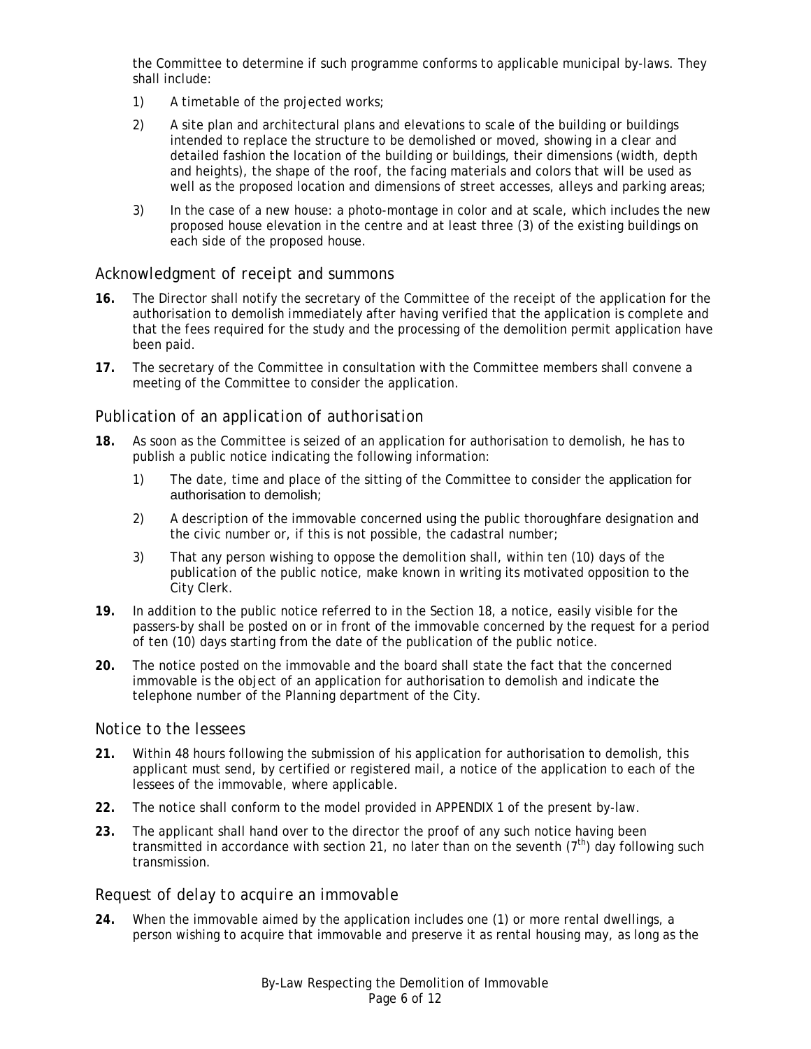the Committee to determine if such programme conforms to applicable municipal by-laws. They shall include:

- 1) A timetable of the projected works;
- 2) A site plan and architectural plans and elevations to scale of the building or buildings intended to replace the structure to be demolished or moved, showing in a clear and detailed fashion the location of the building or buildings, their dimensions (width, depth and heights), the shape of the roof, the facing materials and colors that will be used as well as the proposed location and dimensions of street accesses, alleys and parking areas;
- 3) In the case of a new house: a photo-montage in color and at scale, which includes the new proposed house elevation in the centre and at least three (3) of the existing buildings on each side of the proposed house.

#### <span id="page-5-0"></span>*Acknowledgment of receipt and summons*

- **16.** The Director shall notify the secretary of the Committee of the receipt of the application for the authorisation to demolish immediately after having verified that the application is complete and that the fees required for the study and the processing of the demolition permit application have been paid.
- **17.** The secretary of the Committee in consultation with the Committee members shall convene a meeting of the Committee to consider the application.

#### <span id="page-5-1"></span>*Publication of an application of authorisation*

- <span id="page-5-4"></span>**18.** As soon as the Committee is seized of an application for authorisation to demolish, he has to publish a public notice indicating the following information:
	- 1) The date, time and place of the sitting of the Committee to consider the application for authorisation to demolish;
	- 2) A description of the immovable concerned using the public thoroughfare designation and the civic number or, if this is not possible, the cadastral number;
	- 3) That any person wishing to oppose the demolition shall, within ten (10) days of the publication of the public notice, make known in writing its motivated opposition to the City Clerk.
- **19.** In addition to the public notice referred to in the Section [18,](#page-5-4) a notice, easily visible for the passers-by shall be posted on or in front of the immovable concerned by the request for a period of ten (10) days starting from the date of the publication of the public notice.
- **20.** The notice posted on the immovable and the board shall state the fact that the concerned immovable is the object of an application for authorisation to demolish and indicate the telephone number of the Planning department of the City.

#### <span id="page-5-2"></span>*Notice to the lessees*

- <span id="page-5-5"></span>**21.** Within 48 hours following the submission of his application for authorisation to demolish, this applicant must send, by certified or registered mail, a notice of the application to each of the lessees of the immovable, where applicable.
- <span id="page-5-6"></span>**22.** The notice shall conform to the model provided in [APPENDIX 1](#page-11-0) of the present by-law.
- **23.** The applicant shall hand over to the director the proof of any such notice having been transmitted in accordance with section [21,](#page-5-5) no later than on the seventh  $(7<sup>th</sup>)$  day following such transmission.

#### <span id="page-5-3"></span>*Request of delay to acquire an immovable*

**24.** When the immovable aimed by the application includes one (1) or more rental dwellings, a person wishing to acquire that immovable and preserve it as rental housing may, as long as the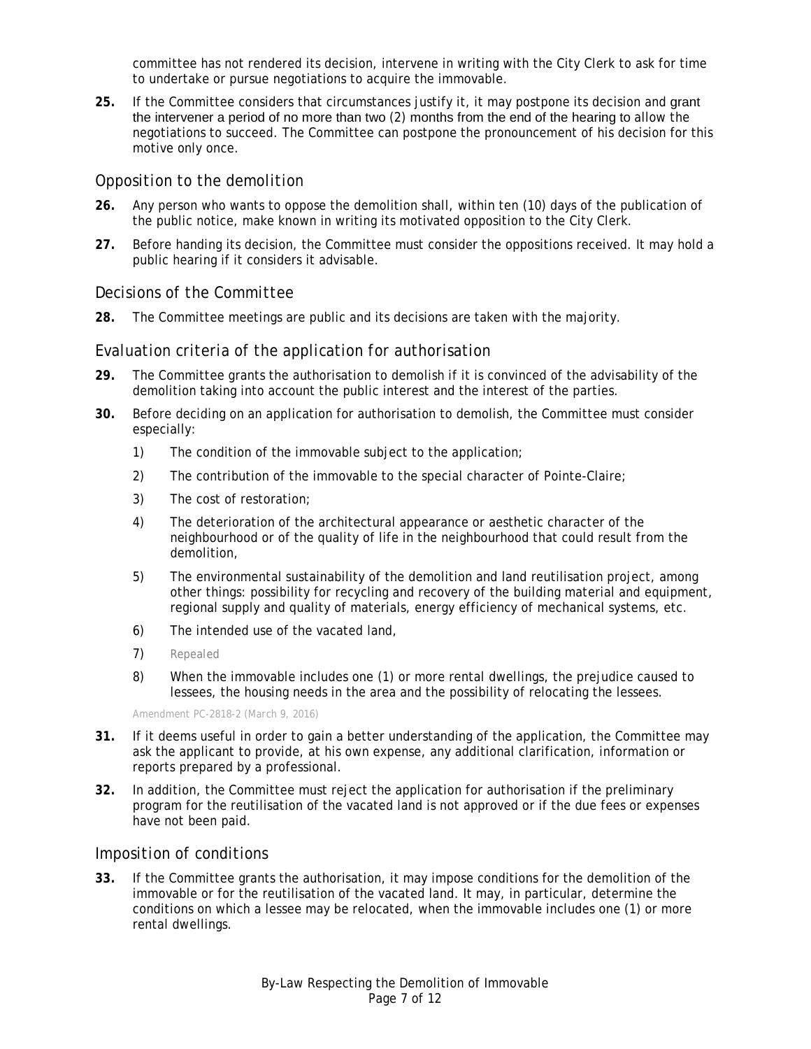committee has not rendered its decision, intervene in writing with the City Clerk to ask for time to undertake or pursue negotiations to acquire the immovable.

**25.** If the Committee considers that circumstances justify it, it may postpone its decision and grant the intervener a period of no more than two (2) months from the end of the hearing to allow the negotiations to succeed. The Committee can postpone the pronouncement of his decision for this motive only once.

## <span id="page-6-0"></span>*Opposition to the demolition*

- **26.** Any person who wants to oppose the demolition shall, within ten (10) days of the publication of the public notice, make known in writing its motivated opposition to the City Clerk.
- **27.** Before handing its decision, the Committee must consider the oppositions received. It may hold a public hearing if it considers it advisable.

#### <span id="page-6-1"></span>*Decisions of the Committee*

**28.** The Committee meetings are public and its decisions are taken with the majority.

#### <span id="page-6-2"></span>*Evaluation criteria of the application for authorisation*

- **29.** The Committee grants the authorisation to demolish if it is convinced of the advisability of the demolition taking into account the public interest and the interest of the parties.
- **30.** Before deciding on an application for authorisation to demolish, the Committee must consider especially:
	- 1) The condition of the immovable subject to the application;
	- 2) The contribution of the immovable to the special character of Pointe-Claire;
	- 3) The cost of restoration;
	- 4) The deterioration of the architectural appearance or aesthetic character of the neighbourhood or of the quality of life in the neighbourhood that could result from the demolition,
	- 5) The environmental sustainability of the demolition and land reutilisation project, among other things: possibility for recycling and recovery of the building material and equipment, regional supply and quality of materials, energy efficiency of mechanical systems, etc.
	- 6) The intended use of the vacated land,
	- 7) *Repealed*
	- 8) When the immovable includes one (1) or more rental dwellings, the prejudice caused to lessees, the housing needs in the area and the possibility of relocating the lessees.

*Amendment PC-2818-2 (March 9, 2016)*

- **31.** If it deems useful in order to gain a better understanding of the application, the Committee may ask the applicant to provide, at his own expense, any additional clarification, information or reports prepared by a professional.
- **32.** In addition, the Committee must reject the application for authorisation if the preliminary program for the reutilisation of the vacated land is not approved or if the due fees or expenses have not been paid.

## <span id="page-6-3"></span>*Imposition of conditions*

**33.** If the Committee grants the authorisation, it may impose conditions for the demolition of the immovable or for the reutilisation of the vacated land. It may, in particular, determine the conditions on which a lessee may be relocated, when the immovable includes one (1) or more rental dwellings.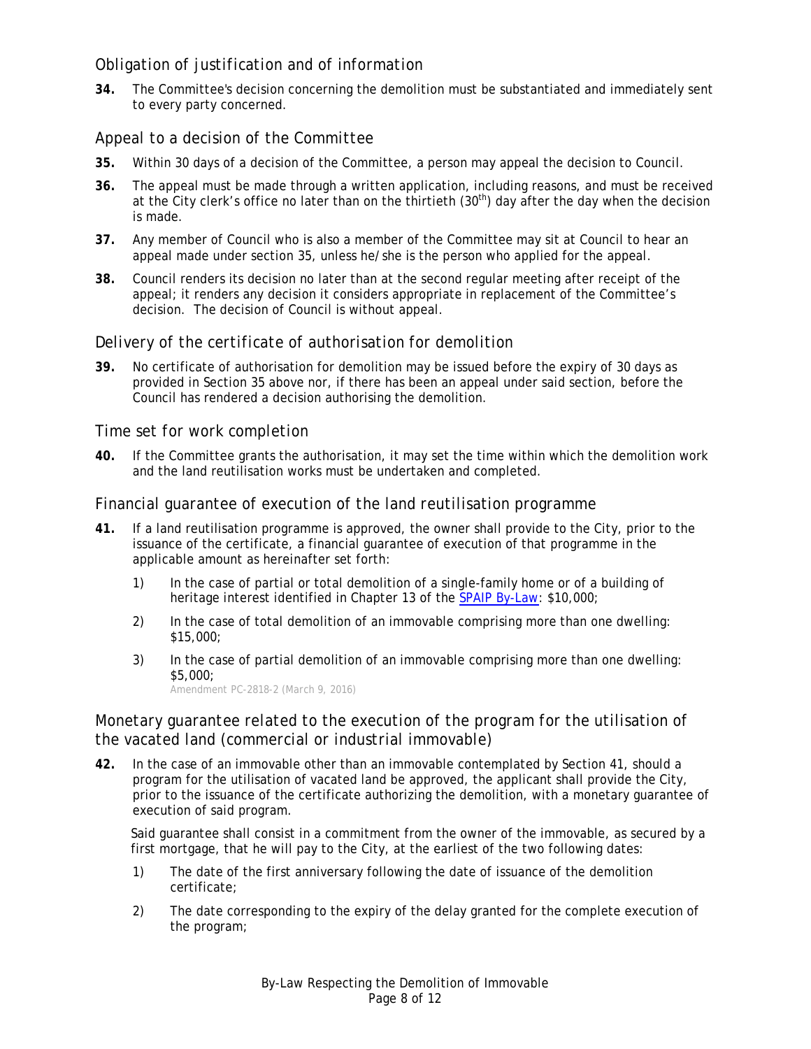## <span id="page-7-0"></span>*Obligation of justification and of information*

**34.** The Committee's decision concerning the demolition must be substantiated and immediately sent to every party concerned.

## <span id="page-7-1"></span>*Appeal to a decision of the Committee*

- <span id="page-7-6"></span>**35.** Within 30 days of a decision of the Committee, a person may appeal the decision to Council.
- **36.** The appeal must be made through a written application, including reasons, and must be received at the City clerk's office no later than on the thirtieth (30<sup>th</sup>) day after the day when the decision is made.
- **37.** Any member of Council who is also a member of the Committee may sit at Council to hear an appeal made under section [35,](#page-7-6) unless he/she is the person who applied for the appeal.
- **38.** Council renders its decision no later than at the second regular meeting after receipt of the appeal; it renders any decision it considers appropriate in replacement of the Committee's decision. The decision of Council is without appeal.

## <span id="page-7-2"></span>*Delivery of the certificate of authorisation for demolition*

**39.** No certificate of authorisation for demolition may be issued before the expiry of 30 days as provided in Section [35](#page-7-6) above nor, if there has been an appeal under said section, before the Council has rendered a decision authorising the demolition.

#### <span id="page-7-3"></span>*Time set for work completion*

**40.** If the Committee grants the authorisation, it may set the time within which the demolition work and the land reutilisation works must be undertaken and completed.

### <span id="page-7-4"></span>*Financial guarantee of execution of the land reutilisation programme*

- <span id="page-7-7"></span>**41.** If a land reutilisation programme is approved, the owner shall provide to the City, prior to the issuance of the certificate, a financial guarantee of execution of that programme in the applicable amount as hereinafter set forth:
	- 1) In the case of partial or total demolition of a single-family home or of a building of heritage interest identified in Chapter 13 of the [SPAIP By-Law:](http://www.pointe-claire.ca/en/component/docman/doc_download/1916-spaip2011-2.html) \$10,000;
	- 2) In the case of total demolition of an immovable comprising more than one dwelling: \$15,000;
	- 3) In the case of partial demolition of an immovable comprising more than one dwelling: \$5,000;

*Amendment PC-2818-2 (March 9, 2016)*

## <span id="page-7-5"></span>*Monetary guarantee related to the execution of the program for the utilisation of the vacated land (commercial or industrial immovable)*

**42.** In the case of an immovable other than an immovable contemplated by Section [41,](#page-7-7) should a program for the utilisation of vacated land be approved, the applicant shall provide the City, prior to the issuance of the certificate authorizing the demolition, with a monetary guarantee of execution of said program.

Said guarantee shall consist in a commitment from the owner of the immovable, as secured by a first mortgage, that he will pay to the City, at the earliest of the two following dates:

- 1) The date of the first anniversary following the date of issuance of the demolition certificate;
- 2) The date corresponding to the expiry of the delay granted for the complete execution of the program;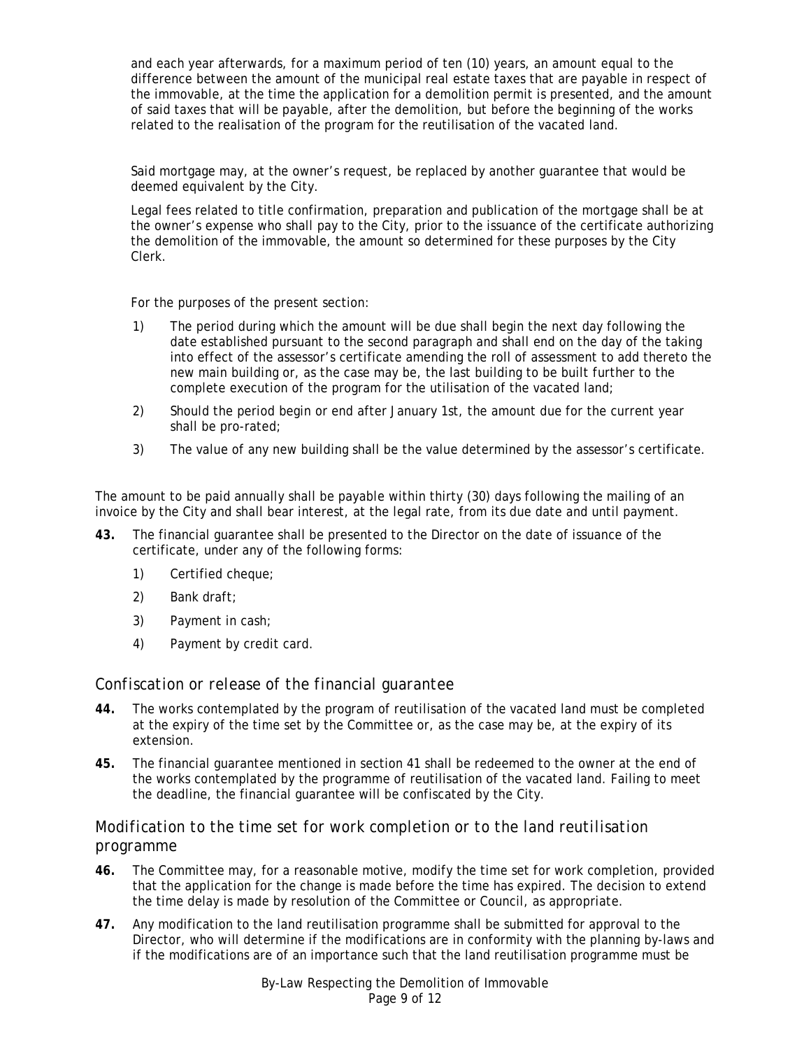and each year afterwards, for a maximum period of ten (10) years, an amount equal to the difference between the amount of the municipal real estate taxes that are payable in respect of the immovable, at the time the application for a demolition permit is presented, and the amount of said taxes that will be payable, after the demolition, but before the beginning of the works related to the realisation of the program for the reutilisation of the vacated land.

Said mortgage may, at the owner's request, be replaced by another guarantee that would be deemed equivalent by the City.

Legal fees related to title confirmation, preparation and publication of the mortgage shall be at the owner's expense who shall pay to the City, prior to the issuance of the certificate authorizing the demolition of the immovable, the amount so determined for these purposes by the City Clerk.

For the purposes of the present section:

- 1) The period during which the amount will be due shall begin the next day following the date established pursuant to the second paragraph and shall end on the day of the taking into effect of the assessor's certificate amending the roll of assessment to add thereto the new main building or, as the case may be, the last building to be built further to the complete execution of the program for the utilisation of the vacated land;
- 2) Should the period begin or end after January 1st, the amount due for the current year shall be pro-rated;
- 3) The value of any new building shall be the value determined by the assessor's certificate.

The amount to be paid annually shall be payable within thirty (30) days following the mailing of an invoice by the City and shall bear interest, at the legal rate, from its due date and until payment.

- **43.** The financial guarantee shall be presented to the Director on the date of issuance of the certificate, under any of the following forms:
	- 1) Certified cheque;
	- 2) Bank draft;
	- 3) Payment in cash;
	- 4) Payment by credit card.

#### <span id="page-8-0"></span>*Confiscation or release of the financial guarantee*

- **44.** The works contemplated by the program of reutilisation of the vacated land must be completed at the expiry of the time set by the Committee or, as the case may be, at the expiry of its extension.
- **45.** The financial guarantee mentioned in section [41](#page-7-7) shall be redeemed to the owner at the end of the works contemplated by the programme of reutilisation of the vacated land. Failing to meet the deadline, the financial guarantee will be confiscated by the City.

## <span id="page-8-1"></span>*Modification to the time set for work completion or to the land reutilisation programme*

- **46.** The Committee may, for a reasonable motive, modify the time set for work completion, provided that the application for the change is made before the time has expired. The decision to extend the time delay is made by resolution of the Committee or Council, as appropriate.
- **47.** Any modification to the land reutilisation programme shall be submitted for approval to the Director, who will determine if the modifications are in conformity with the planning by-laws and if the modifications are of an importance such that the land reutilisation programme must be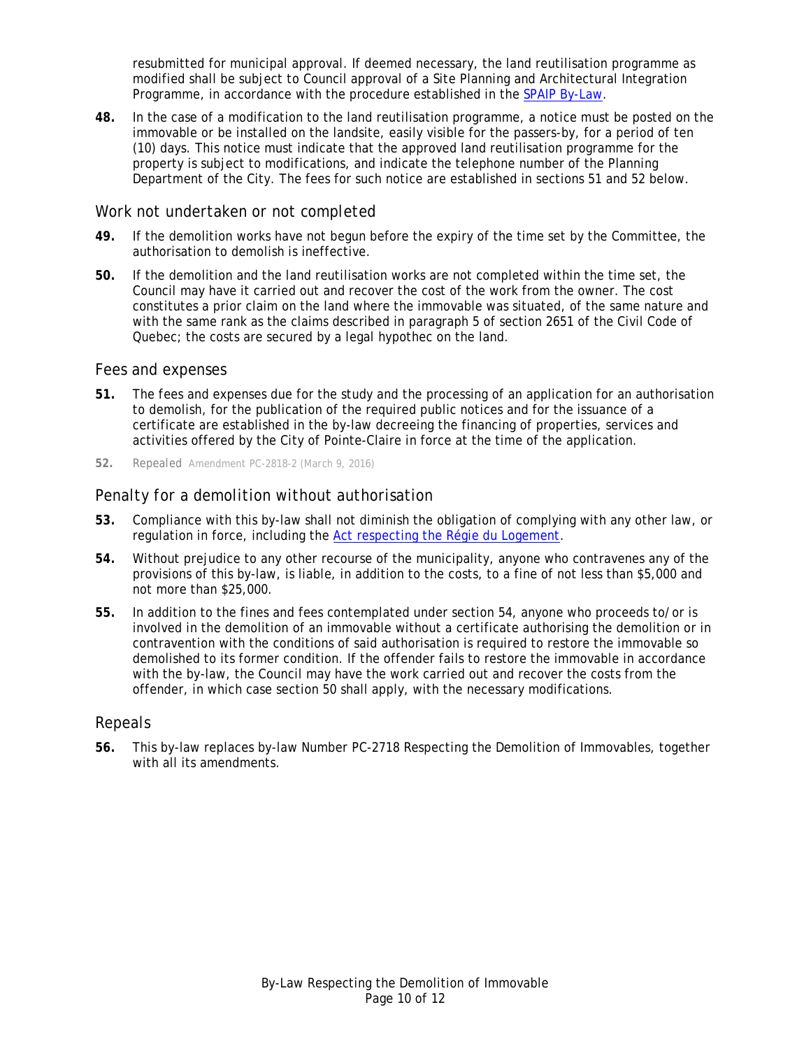resubmitted for municipal approval. If deemed necessary, the land reutilisation programme as modified shall be subject to Council approval of a Site Planning and Architectural Integration Programme, in accordance with the procedure established in the [SPAIP By-Law.](http://www.pointe-claire.ca/en/component/docman/doc_download/1916-spaip2011-2.html)

**48.** In the case of a modification to the land reutilisation programme, a notice must be posted on the immovable or be installed on the landsite, easily visible for the passers-by, for a period of ten (10) days. This notice must indicate that the approved land reutilisation programme for the property is subject to modifications, and indicate the telephone number of the Planning Department of the City. The fees for such notice are established in sections [51](#page-9-4) and 52 below.

### <span id="page-9-0"></span>*Work not undertaken or not completed*

- **49.** If the demolition works have not begun before the expiry of the time set by the Committee, the authorisation to demolish is ineffective.
- <span id="page-9-6"></span>**50.** If the demolition and the land reutilisation works are not completed within the time set, the Council may have it carried out and recover the cost of the work from the owner. The cost constitutes a prior claim on the land where the immovable was situated, of the same nature and with the same rank as the claims described in paragraph 5 of section 2651 of the Civil Code of Quebec; the costs are secured by a legal hypothec on the land.

#### <span id="page-9-1"></span>*Fees and expenses*

- <span id="page-9-4"></span>**51.** The fees and expenses due for the study and the processing of an application for an authorisation to demolish, for the publication of the required public notices and for the issuance of a certificate are established in the by-law decreeing the financing of properties, services and activities offered by the City of Pointe-Claire in force at the time of the application.
- **52.** *Repealed Amendment PC-2818-2 (March 9, 2016)*

## <span id="page-9-2"></span>*Penalty for a demolition without authorisation*

- **53.** Compliance with this by-law shall not diminish the obligation of complying with any other law, or regulation in force, including the [Act respecting the Régie du Logement.](http://www2.publicationsduquebec.gouv.qc.ca/dynamicSearch/telecharge.php?type=2&file=/R_8_1/R8_1_A.html)
- <span id="page-9-5"></span>**54.** Without prejudice to any other recourse of the municipality, anyone who contravenes any of the provisions of this by-law, is liable, in addition to the costs, to a fine of not less than \$5,000 and not more than \$25,000.
- **55.** In addition to the fines and fees contemplated under section [54,](#page-9-5) anyone who proceeds to/or is involved in the demolition of an immovable without a certificate authorising the demolition or in contravention with the conditions of said authorisation is required to restore the immovable so demolished to its former condition. If the offender fails to restore the immovable in accordance with the by-law, the Council may have the work carried out and recover the costs from the offender, in which case section [50](#page-9-6) shall apply, with the necessary modifications.

#### <span id="page-9-3"></span>*Repeals*

**56.** This by-law replaces by-law Number PC-2718 Respecting the Demolition of Immovables, together with all its amendments.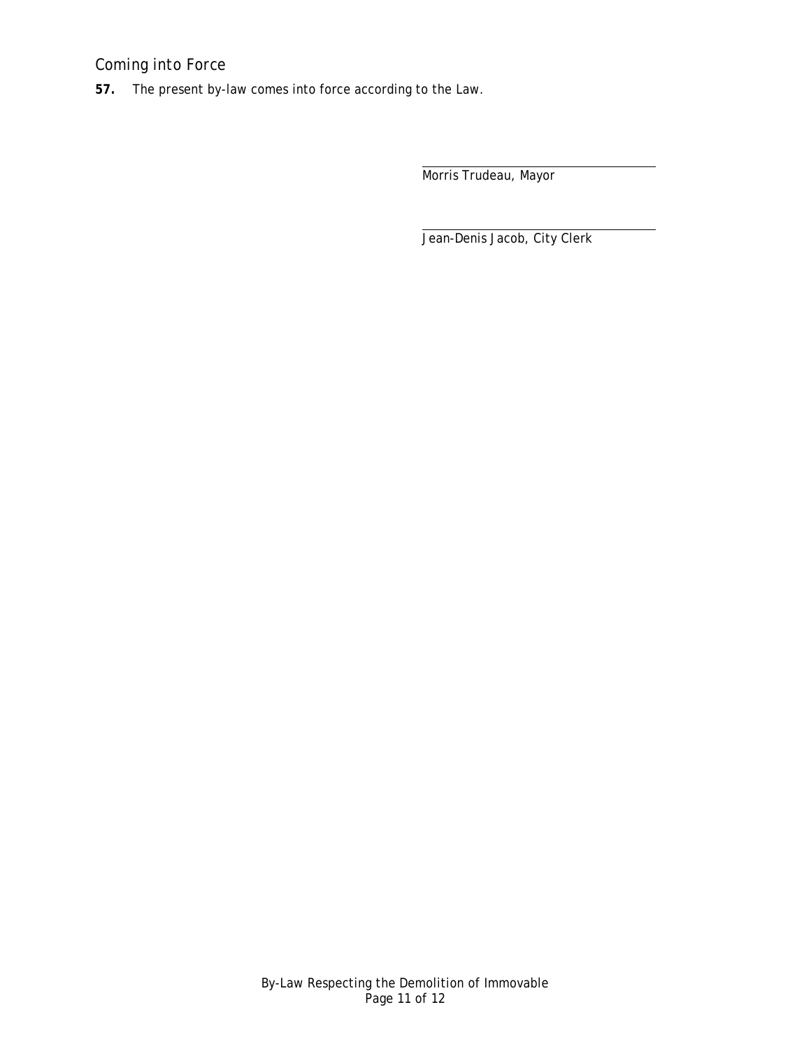## <span id="page-10-0"></span>*Coming into Force*

**57.** The present by-law comes into force according to the Law.

Morris Trudeau, Mayor

Jean-Denis Jacob, City Clerk